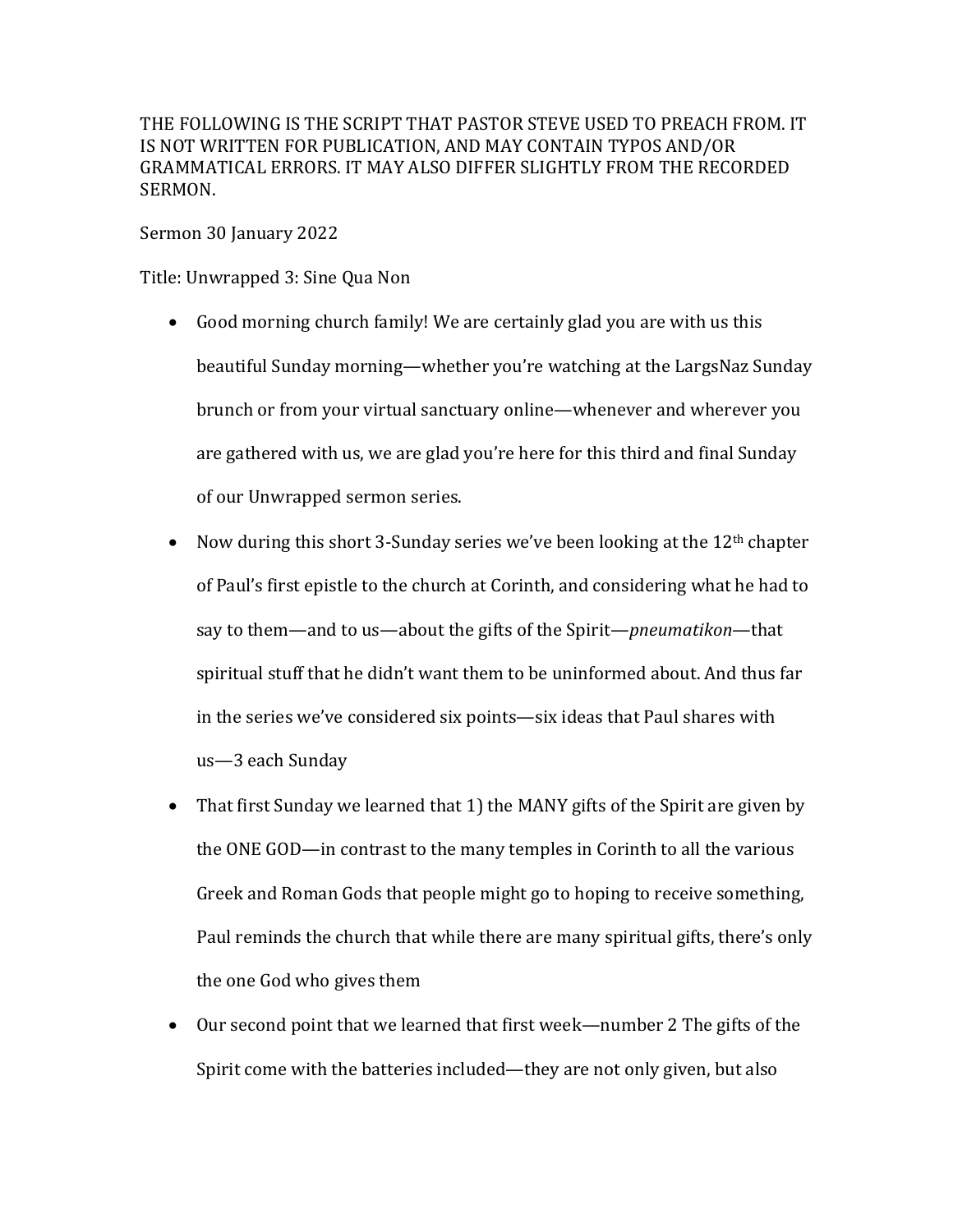THE FOLLOWING IS THE SCRIPT THAT PASTOR STEVE USED TO PREACH FROM. IT IS NOT WRITTEN FOR PUBLICATION, AND MAY CONTAIN TYPOS AND/OR GRAMMATICAL ERRORS. IT MAY ALSO DIFFER SLIGHTLY FROM THE RECORDED SERMON.

Sermon 30 January 2022

Title: Unwrapped 3: Sine Qua Non

- Good morning church family! We are certainly glad you are with us this beautiful Sunday morning—whether you're watching at the LargsNaz Sunday brunch or from your virtual sanctuary online—whenever and wherever you are gathered with us, we are glad you're here for this third and final Sunday of our Unwrapped sermon series.
- Now during this short 3-Sunday series we've been looking at the  $12<sup>th</sup>$  chapter of Paul's first epistle to the church at Corinth, and considering what he had to say to them—and to us—about the gifts of the Spirit—*pneumatikon*—that spiritual stuff that he didn't want them to be uninformed about. And thus far in the series we've considered six points—six ideas that Paul shares with us—3 each Sunday
- That first Sunday we learned that 1) the MANY gifts of the Spirit are given by the ONE GOD—in contrast to the many temples in Corinth to all the various Greek and Roman Gods that people might go to hoping to receive something, Paul reminds the church that while there are many spiritual gifts, there's only the one God who gives them
- Our second point that we learned that first week—number 2 The gifts of the Spirit come with the batteries included—they are not only given, but also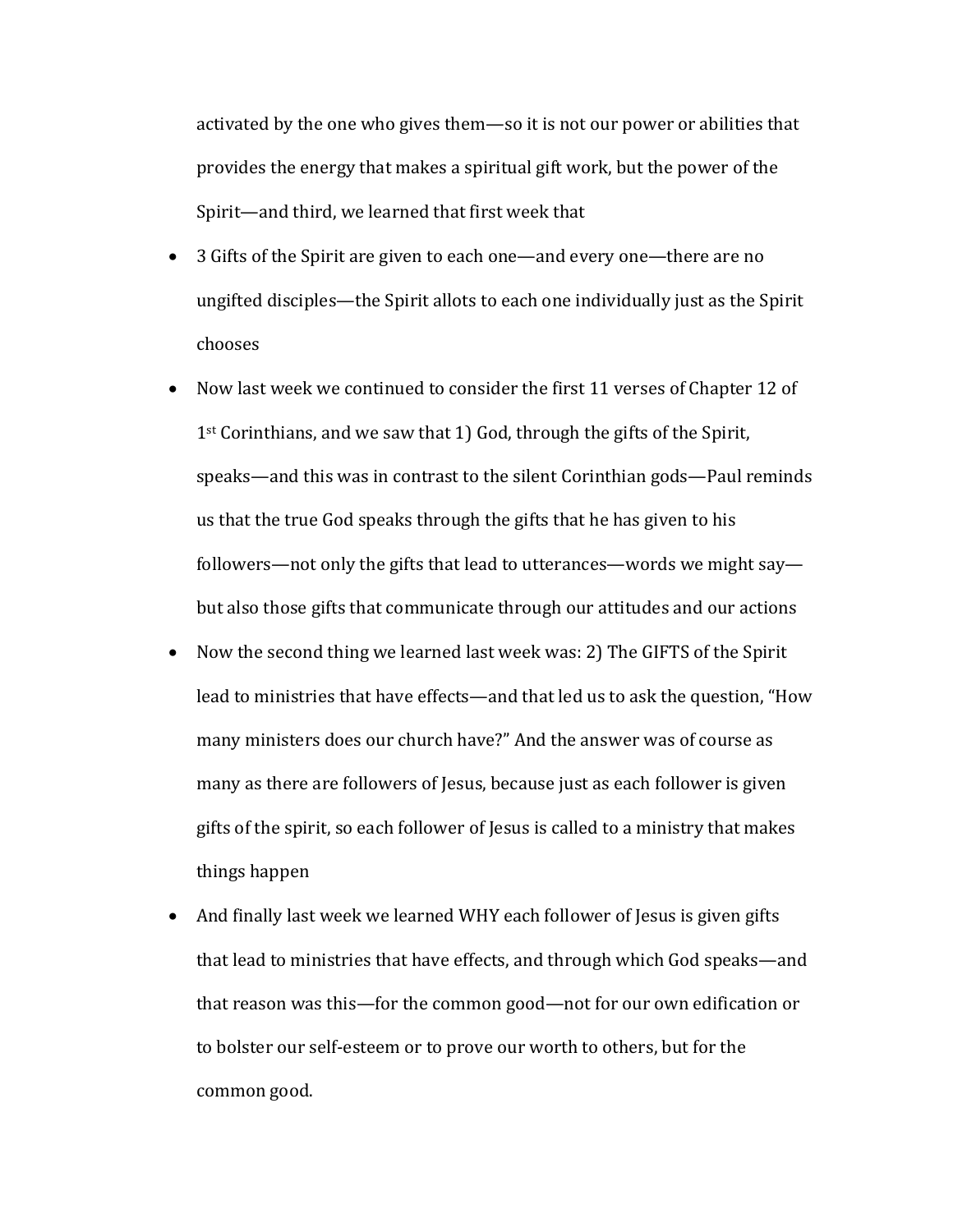activated by the one who gives them—so it is not our power or abilities that provides the energy that makes a spiritual gift work, but the power of the Spirit—and third, we learned that first week that

- 3 Gifts of the Spirit are given to each one—and every one—there are no ungifted disciples—the Spirit allots to each one individually just as the Spirit chooses
- Now last week we continued to consider the first 11 verses of Chapter 12 of  $1<sup>st</sup>$  Corinthians, and we saw that 1) God, through the gifts of the Spirit, speaks—and this was in contrast to the silent Corinthian gods—Paul reminds us that the true God speaks through the gifts that he has given to his followers—not only the gifts that lead to utterances—words we might say but also those gifts that communicate through our attitudes and our actions
- Now the second thing we learned last week was: 2) The GIFTS of the Spirit lead to ministries that have effects—and that led us to ask the question, "How many ministers does our church have?" And the answer was of course as many as there are followers of Jesus, because just as each follower is given gifts of the spirit, so each follower of Jesus is called to a ministry that makes things happen
- And finally last week we learned WHY each follower of Jesus is given gifts that lead to ministries that have effects, and through which God speaks—and that reason was this—for the common good—not for our own edification or to bolster our self-esteem or to prove our worth to others, but for the common good.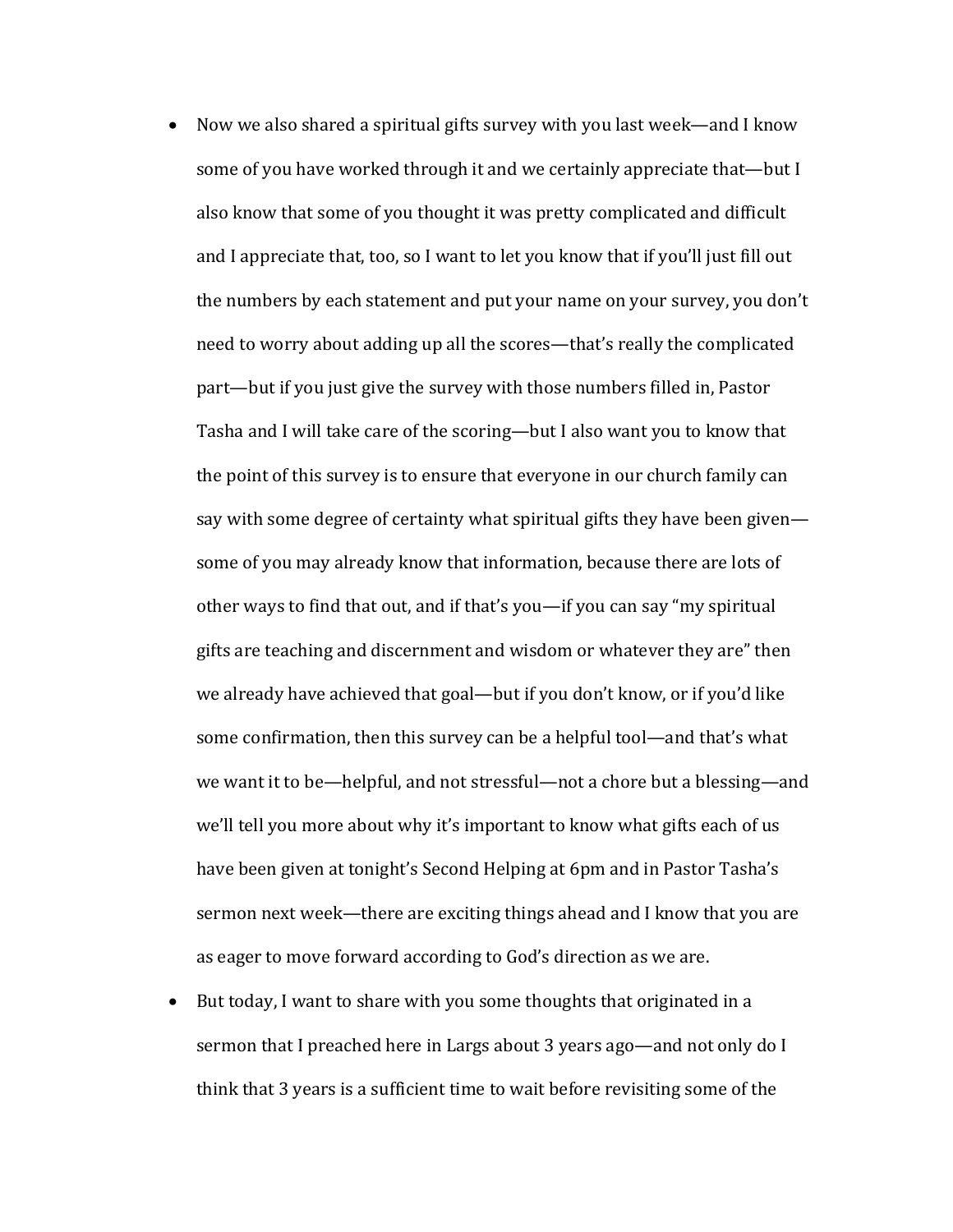- Now we also shared a spiritual gifts survey with you last week—and I know some of you have worked through it and we certainly appreciate that—but I also know that some of you thought it was pretty complicated and difficult and I appreciate that, too, so I want to let you know that if you'll just fill out the numbers by each statement and put your name on your survey, you don't need to worry about adding up all the scores—that's really the complicated part—but if you just give the survey with those numbers filled in, Pastor Tasha and I will take care of the scoring—but I also want you to know that the point of this survey is to ensure that everyone in our church family can say with some degree of certainty what spiritual gifts they have been givensome of you may already know that information, because there are lots of other ways to find that out, and if that's you—if you can say "my spiritual gifts are teaching and discernment and wisdom or whatever they are" then we already have achieved that goal—but if you don't know, or if you'd like some confirmation, then this survey can be a helpful tool—and that's what we want it to be—helpful, and not stressful—not a chore but a blessing—and we'll tell you more about why it's important to know what gifts each of us have been given at tonight's Second Helping at 6pm and in Pastor Tasha's sermon next week—there are exciting things ahead and I know that you are as eager to move forward according to God's direction as we are.
- But today, I want to share with you some thoughts that originated in a sermon that I preached here in Largs about 3 years ago—and not only do I think that 3 years is a sufficient time to wait before revisiting some of the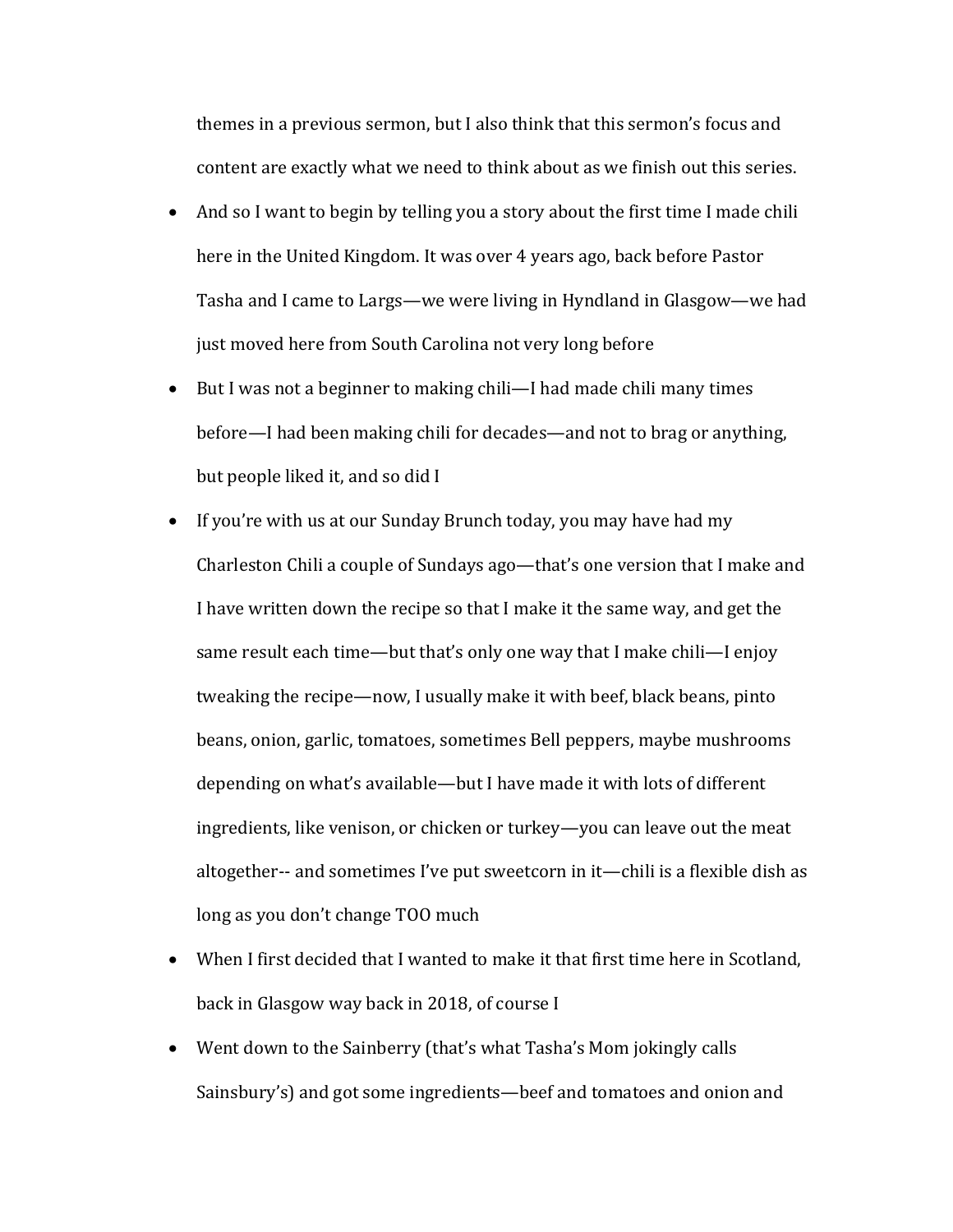themes in a previous sermon, but I also think that this sermon's focus and content are exactly what we need to think about as we finish out this series.

- And so I want to begin by telling you a story about the first time I made chili here in the United Kingdom. It was over 4 years ago, back before Pastor Tasha and I came to Largs—we were living in Hyndland in Glasgow—we had just moved here from South Carolina not very long before
- But I was not a beginner to making chili—I had made chili many times before—I had been making chili for decades—and not to brag or anything, but people liked it, and so did I
- If you're with us at our Sunday Brunch today, you may have had my Charleston Chili a couple of Sundays ago—that's one version that I make and I have written down the recipe so that I make it the same way, and get the same result each time—but that's only one way that I make chili—I enjoy tweaking the recipe—now, I usually make it with beef, black beans, pinto beans, onion, garlic, tomatoes, sometimes Bell peppers, maybe mushrooms depending on what's available—but I have made it with lots of different ingredients, like venison, or chicken or turkey—you can leave out the meat altogether-- and sometimes I've put sweetcorn in it—chili is a flexible dish as long as you don't change TOO much
- When I first decided that I wanted to make it that first time here in Scotland, back in Glasgow way back in 2018, of course I
- Went down to the Sainberry (that's what Tasha's Mom jokingly calls Sainsbury's) and got some ingredients—beef and tomatoes and onion and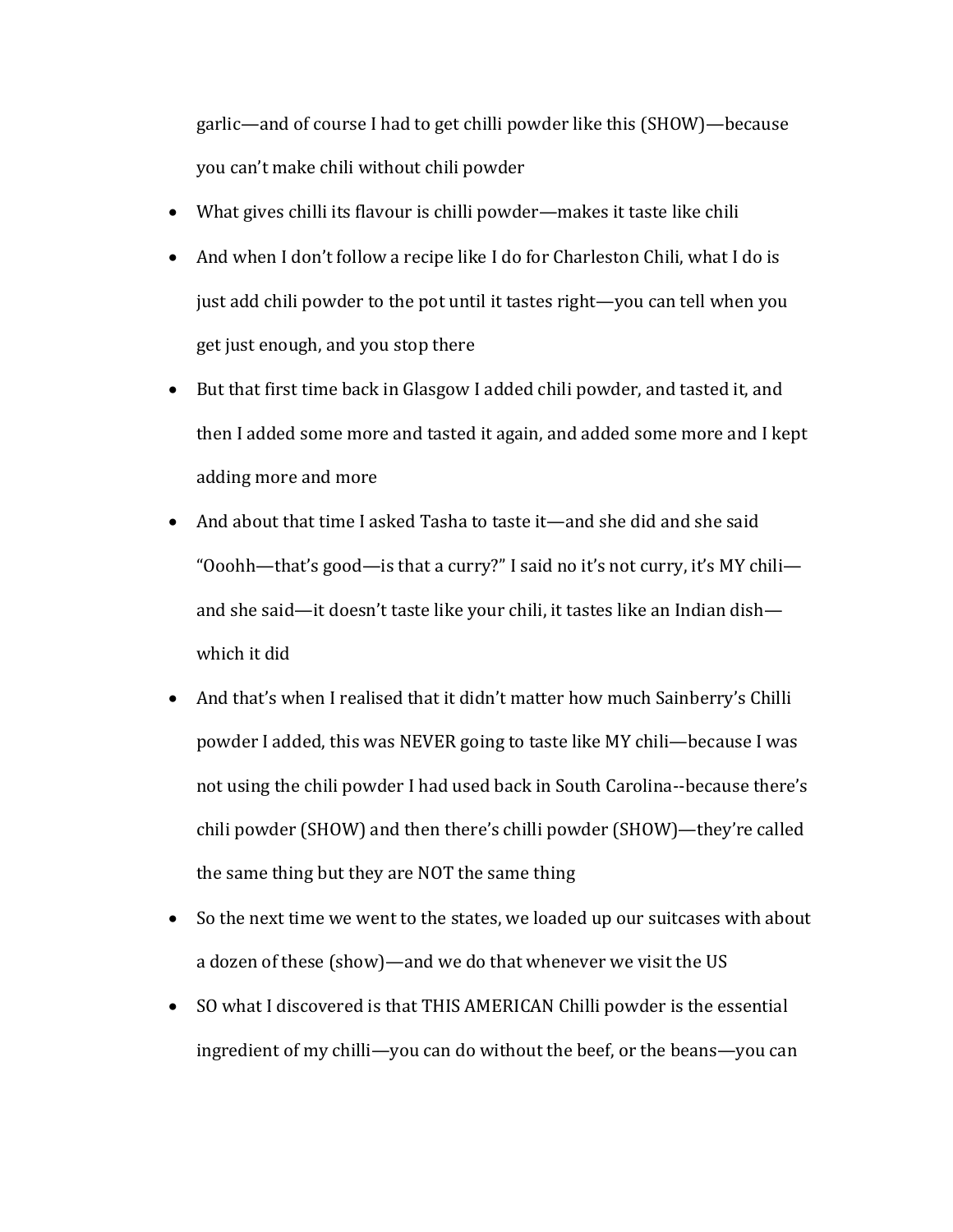garlic—and of course I had to get chilli powder like this (SHOW)—because you can't make chili without chili powder

- What gives chilli its flavour is chilli powder—makes it taste like chili
- And when I don't follow a recipe like I do for Charleston Chili, what I do is just add chili powder to the pot until it tastes right—you can tell when you get just enough, and you stop there
- But that first time back in Glasgow I added chili powder, and tasted it, and then I added some more and tasted it again, and added some more and I kept adding more and more
- And about that time I asked Tasha to taste it—and she did and she said "Ooohh—that's good—is that a curry?" I said no it's not curry, it's MY chili and she said—it doesn't taste like your chili, it tastes like an Indian dish which it did
- And that's when I realised that it didn't matter how much Sainberry's Chilli powder I added, this was NEVER going to taste like MY chili—because I was not using the chili powder I had used back in South Carolina--because there's chili powder (SHOW) and then there's chilli powder (SHOW)—they're called the same thing but they are NOT the same thing
- So the next time we went to the states, we loaded up our suitcases with about a dozen of these (show)—and we do that whenever we visit the US
- SO what I discovered is that THIS AMERICAN Chilli powder is the essential ingredient of my chilli—you can do without the beef, or the beans—you can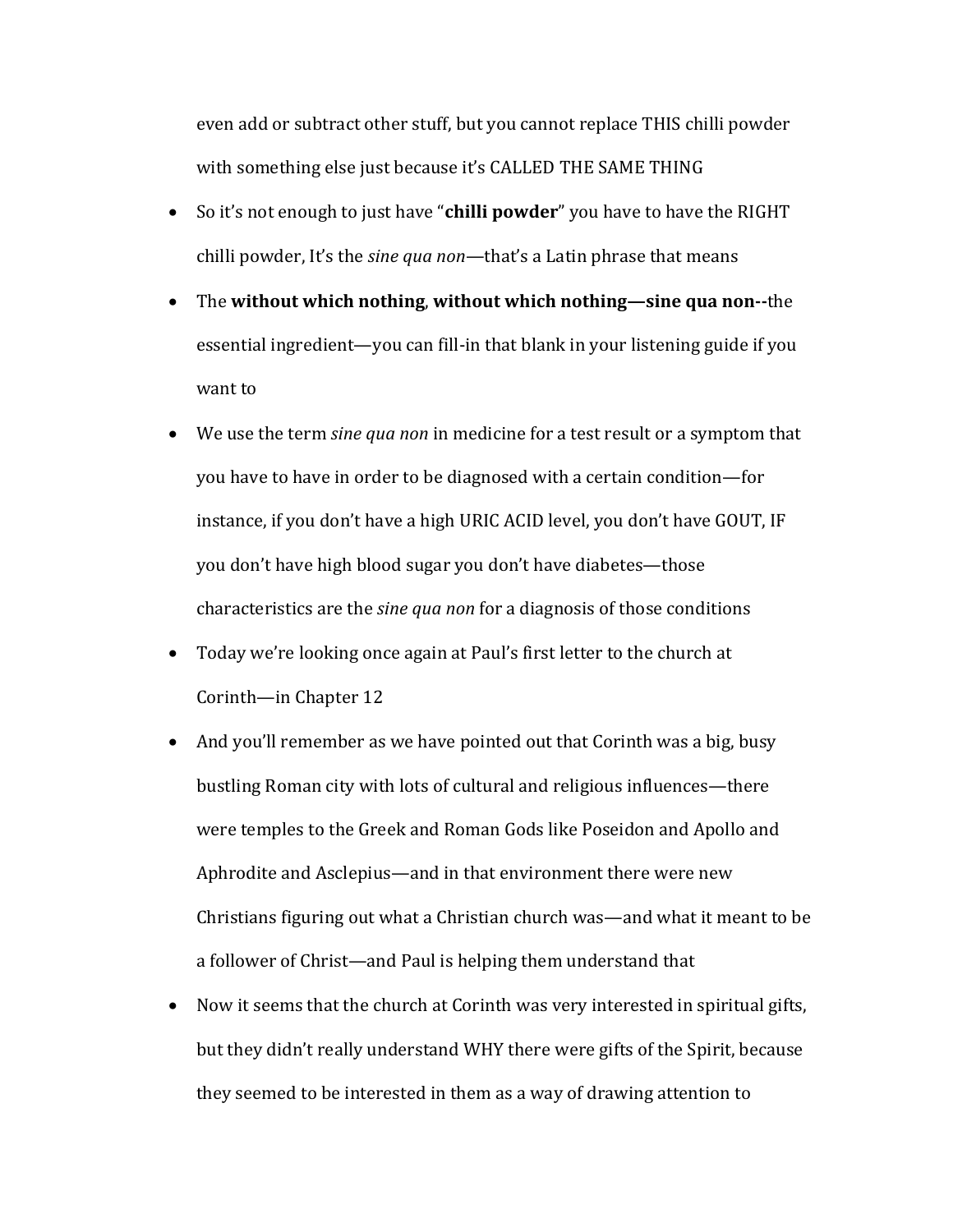even add or subtract other stuff, but you cannot replace THIS chilli powder with something else just because it's CALLED THE SAME THING

- So it's not enough to just have "chilli powder" you have to have the RIGHT chilli powder, It's the *sine qua non*—that's a Latin phrase that means
- The without which nothing, without which nothing—sine qua non--the essential ingredient—you can fill-in that blank in your listening guide if you want to
- We use the term *sine qua non* in medicine for a test result or a symptom that you have to have in order to be diagnosed with a certain condition—for instance, if you don't have a high URIC ACID level, you don't have GOUT, IF you don't have high blood sugar you don't have diabetes—those characteristics are the *sine qua non* for a diagnosis of those conditions
- Today we're looking once again at Paul's first letter to the church at Corinth—in Chapter 12
- And you'll remember as we have pointed out that Corinth was a big, busy bustling Roman city with lots of cultural and religious influences—there were temples to the Greek and Roman Gods like Poseidon and Apollo and Aphrodite and Asclepius—and in that environment there were new Christians figuring out what a Christian church was—and what it meant to be a follower of Christ—and Paul is helping them understand that
- Now it seems that the church at Corinth was very interested in spiritual gifts, but they didn't really understand WHY there were gifts of the Spirit, because they seemed to be interested in them as a way of drawing attention to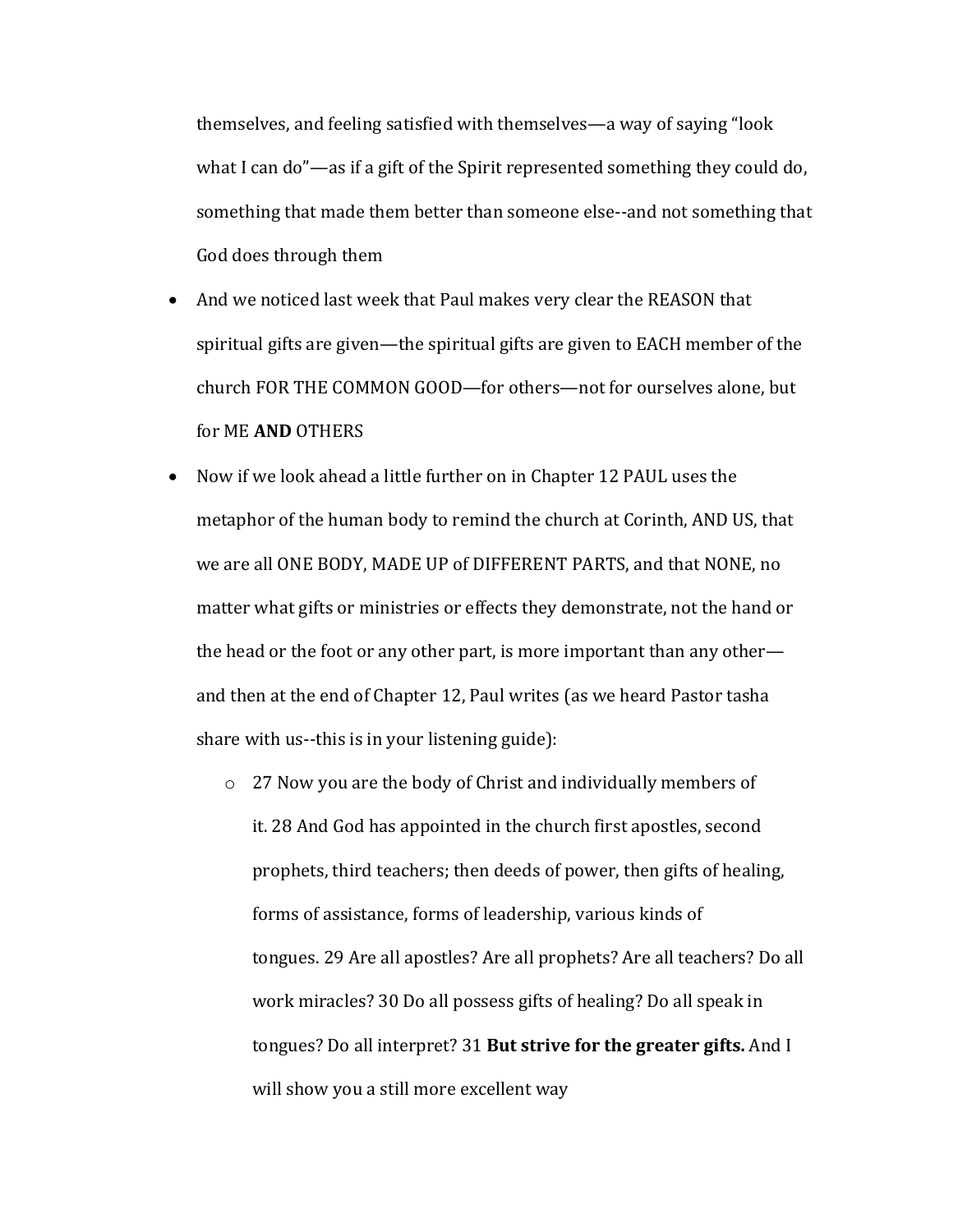themselves, and feeling satisfied with themselves—a way of saying "look" what I can do"—as if a gift of the Spirit represented something they could do, something that made them better than someone else--and not something that God does through them

- And we noticed last week that Paul makes very clear the REASON that spiritual gifts are given—the spiritual gifts are given to EACH member of the church FOR THE COMMON GOOD—for others—not for ourselves alone, but for ME **AND** OTHERS
- Now if we look ahead a little further on in Chapter 12 PAUL uses the metaphor of the human body to remind the church at Corinth, AND US, that we are all ONE BODY, MADE UP of DIFFERENT PARTS, and that NONE, no matter what gifts or ministries or effects they demonstrate, not the hand or the head or the foot or any other part, is more important than any other and then at the end of Chapter 12, Paul writes (as we heard Pastor tasha share with us--this is in your listening guide):
	- $\circ$  27 Now you are the body of Christ and individually members of it. 28 And God has appointed in the church first apostles, second prophets, third teachers; then deeds of power, then gifts of healing, forms of assistance, forms of leadership, various kinds of tongues. 29 Are all apostles? Are all prophets? Are all teachers? Do all work miracles? 30 Do all possess gifts of healing? Do all speak in tongues? Do all interpret? 31 But strive for the greater gifts. And I will show you a still more excellent way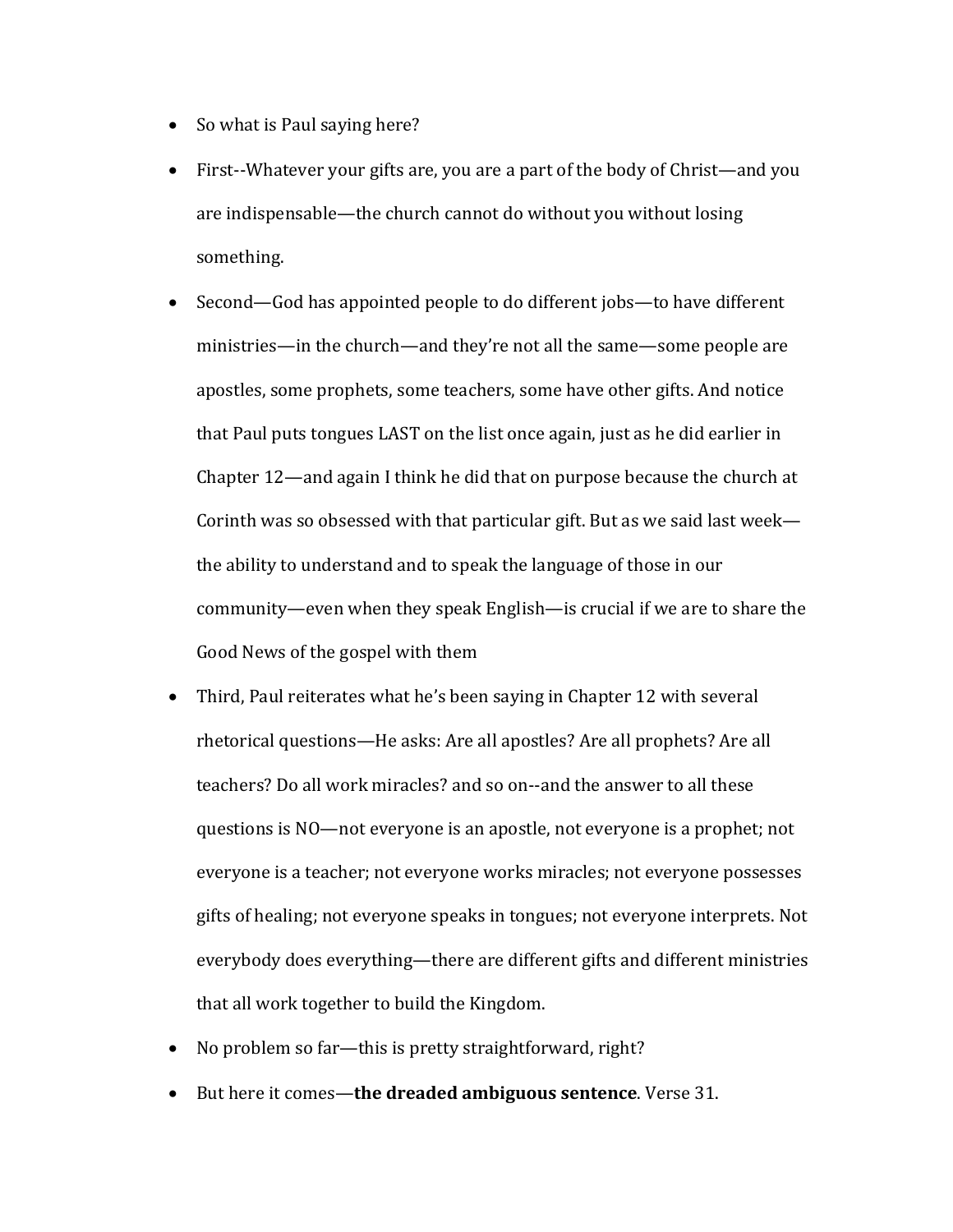- So what is Paul saying here?
- First--Whatever your gifts are, you are a part of the body of Christ—and you are indispensable—the church cannot do without you without losing something.
- Second—God has appointed people to do different jobs—to have different ministries—in the church—and they're not all the same—some people are apostles, some prophets, some teachers, some have other gifts. And notice that Paul puts tongues LAST on the list once again, just as he did earlier in Chapter  $12$ —and again I think he did that on purpose because the church at Corinth was so obsessed with that particular gift. But as we said last week the ability to understand and to speak the language of those in our community—even when they speak English—is crucial if we are to share the Good News of the gospel with them
- Third, Paul reiterates what he's been saying in Chapter 12 with several rhetorical questions—He asks: Are all apostles? Are all prophets? Are all teachers? Do all work miracles? and so on--and the answer to all these questions is NO—not everyone is an apostle, not everyone is a prophet; not everyone is a teacher; not everyone works miracles; not everyone possesses gifts of healing; not everyone speaks in tongues; not everyone interprets. Not everybody does everything—there are different gifts and different ministries that all work together to build the Kingdom.
- No problem so far—this is pretty straightforward, right?
- But here it comes—the dreaded ambiguous sentence. Verse 31.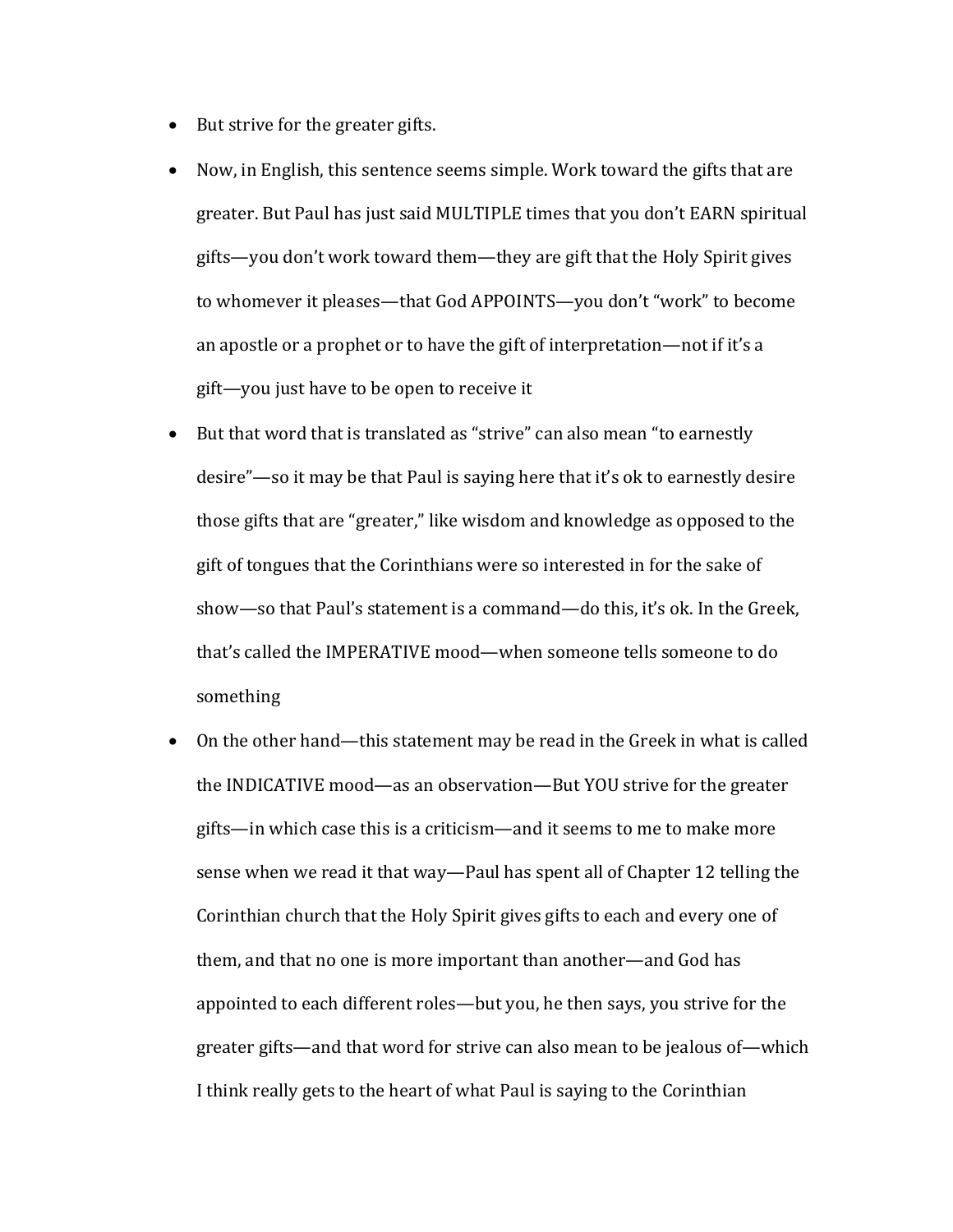- But strive for the greater gifts.
- Now, in English, this sentence seems simple. Work toward the gifts that are greater. But Paul has just said MULTIPLE times that you don't EARN spiritual gifts—you don't work toward them—they are gift that the Holy Spirit gives to whomever it pleases—that God APPOINTS—you don't "work" to become an apostle or a prophet or to have the gift of interpretation—not if it's a gift—you just have to be open to receive it
- But that word that is translated as "strive" can also mean "to earnestly desire"—so it may be that Paul is saying here that it's ok to earnestly desire those gifts that are "greater," like wisdom and knowledge as opposed to the gift of tongues that the Corinthians were so interested in for the sake of show—so that Paul's statement is a command—do this, it's ok. In the Greek, that's called the IMPERATIVE mood—when someone tells someone to do something
- On the other hand—this statement may be read in the Greek in what is called the INDICATIVE mood—as an observation—But YOU strive for the greater gifts—in which case this is a criticism—and it seems to me to make more sense when we read it that way—Paul has spent all of Chapter 12 telling the Corinthian church that the Holy Spirit gives gifts to each and every one of them, and that no one is more important than another—and God has appointed to each different roles—but you, he then says, you strive for the greater gifts—and that word for strive can also mean to be jealous of—which I think really gets to the heart of what Paul is saying to the Corinthian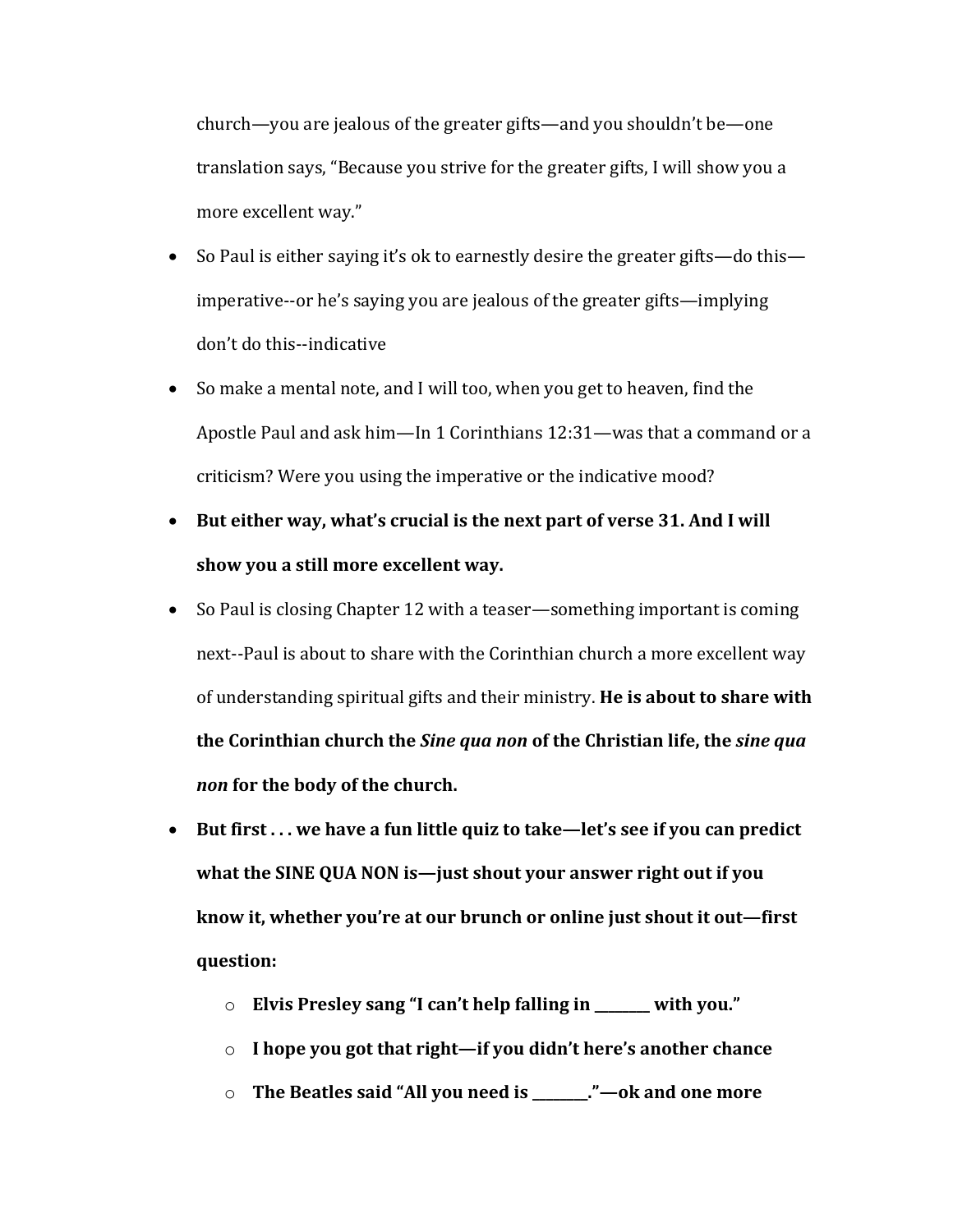church—you are jealous of the greater gifts—and you shouldn't be—one translation says, "Because you strive for the greater gifts, I will show you a more excellent way."

- So Paul is either saying it's ok to earnestly desire the greater gifts—do this imperative--or he's saying you are jealous of the greater gifts—implying don't do this--indicative
- So make a mental note, and I will too, when you get to heaven, find the Apostle Paul and ask him—In 1 Corinthians  $12:31$ —was that a command or a criticism? Were you using the imperative or the indicative mood?
- But either way, what's crucial is the next part of verse 31. And I will show you a still more excellent way.
- So Paul is closing Chapter 12 with a teaser—something important is coming next--Paul is about to share with the Corinthian church a more excellent way of understanding spiritual gifts and their ministry. He is about to share with **the Corinthian church the Sine qua non of the Christian life, the sine qua** *non* for the body of the church.
- But first ... we have a fun little quiz to take—let's see if you can predict what the SINE QUA NON is—just shout your answer right out if you know it, whether you're at our brunch or online just shout it out—first **question:**
	- o **Elvis Presley sang "I can't help falling in \_\_\_\_\_\_ with you."**
	- o **I** hope you got that right—if you didn't here's another chance
	- o **The Beatles said "All you need is \_\_\_\_\_\_."—ok and one more**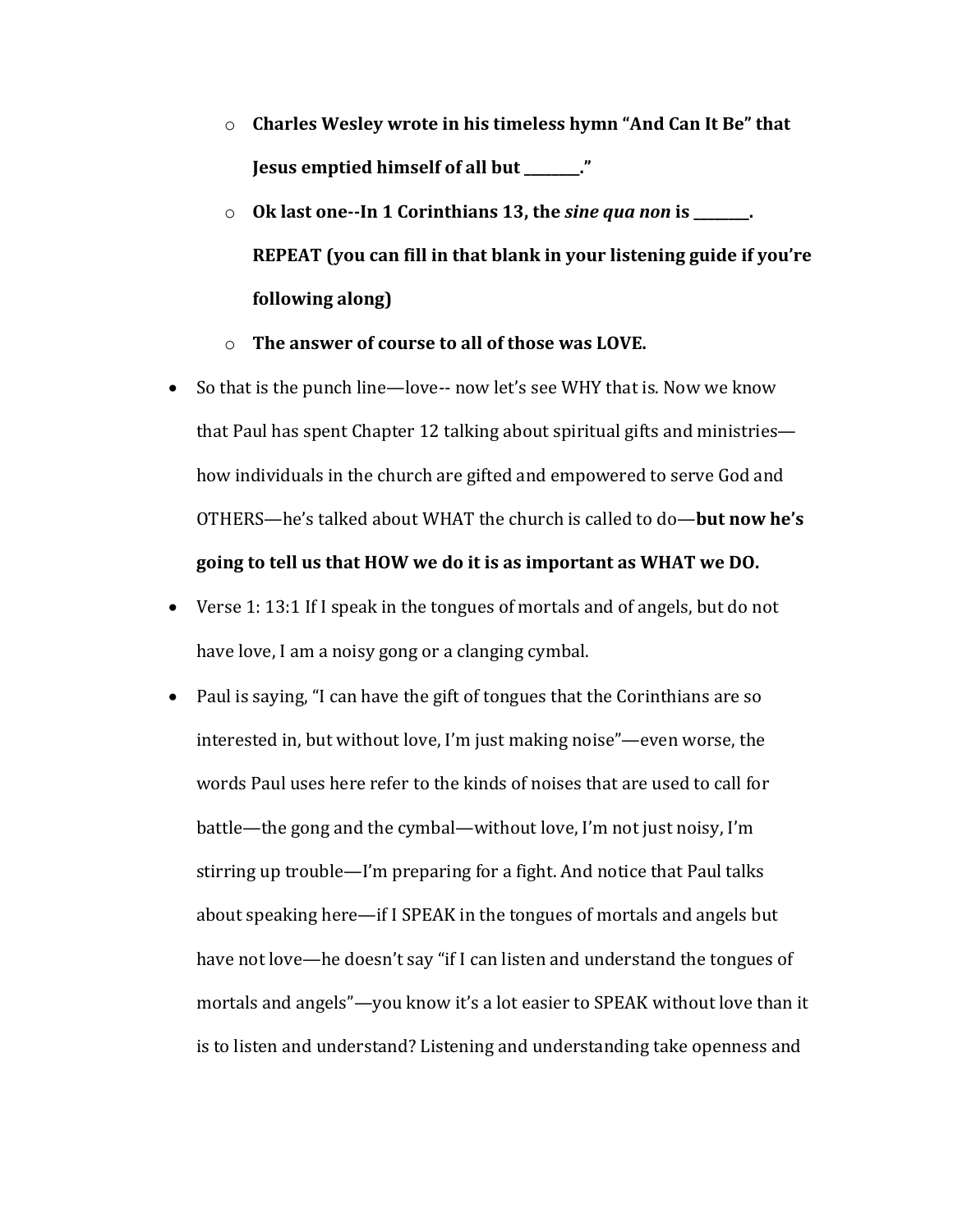- $\circ$  **Charles Wesley wrote in his timeless hymn "And Can It Be" that Jesus emptied himself of all but \_\_\_\_\_\_\_."**
- o Ok last one--In 1 Corinthians 13, the *sine qua non* is \_\_\_\_\_\_. **REPEAT** (you can fill in that blank in your listening guide if you're **following along)**
- o The answer of course to all of those was LOVE.
- So that is the punch line—love-- now let's see WHY that is. Now we know that Paul has spent Chapter 12 talking about spiritual gifts and ministries how individuals in the church are gifted and empowered to serve God and OTHERS—he's talked about WHAT the church is called to do—**but now he's** going to tell us that HOW we do it is as important as WHAT we DO.
- Verse 1: 13:1 If I speak in the tongues of mortals and of angels, but do not have love, I am a noisy gong or a clanging cymbal.
- Paul is saying, "I can have the gift of tongues that the Corinthians are so interested in, but without love, I'm just making noise"—even worse, the words Paul uses here refer to the kinds of noises that are used to call for battle—the gong and the cymbal—without love, I'm not just noisy, I'm stirring up trouble—I'm preparing for a fight. And notice that Paul talks about speaking here—if I SPEAK in the tongues of mortals and angels but have not love—he doesn't say "if I can listen and understand the tongues of mortals and angels"—you know it's a lot easier to SPEAK without love than it is to listen and understand? Listening and understanding take openness and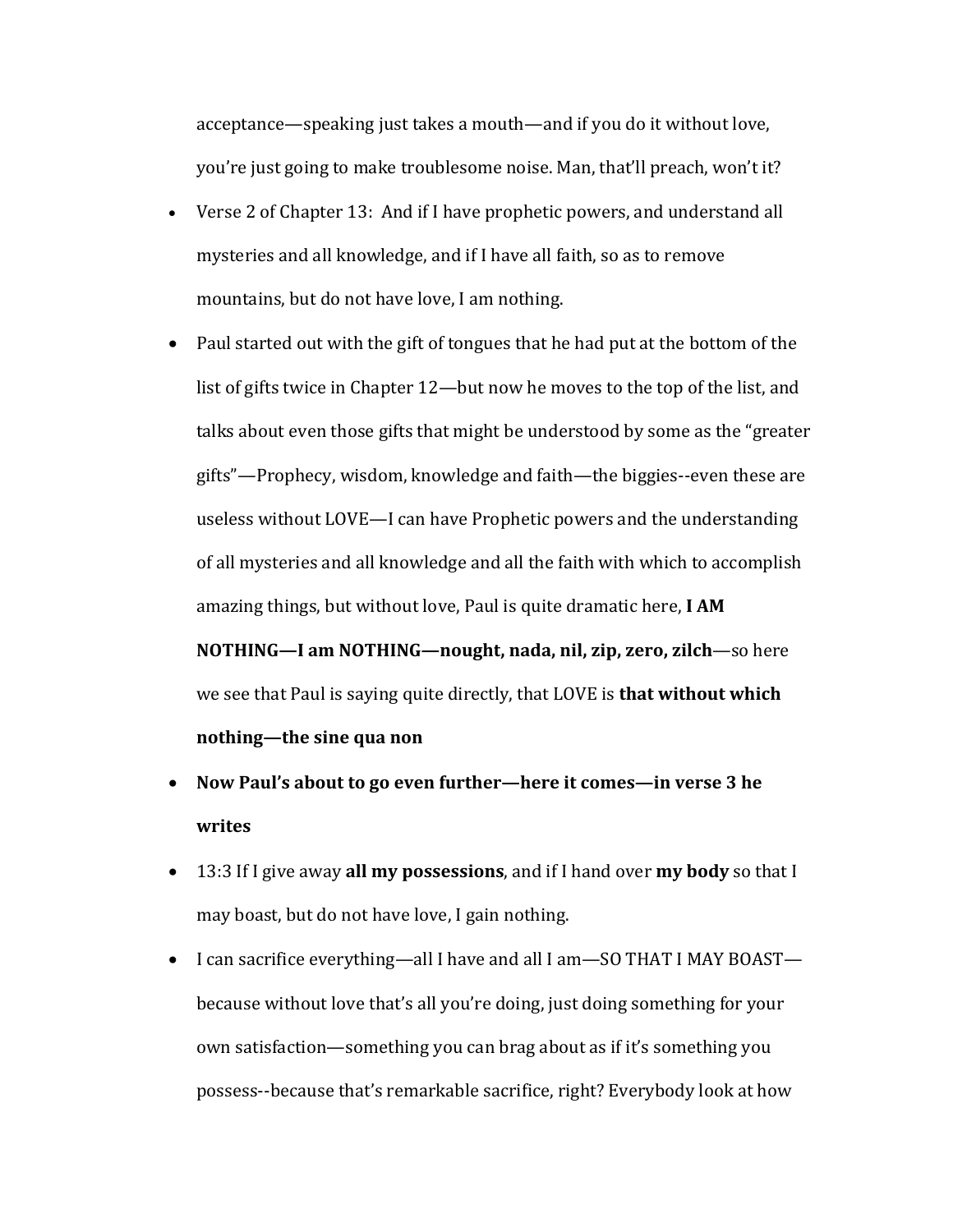acceptance—speaking just takes a mouth—and if you do it without love, you're just going to make troublesome noise. Man, that'll preach, won't it?

- Verse 2 of Chapter 13: And if I have prophetic powers, and understand all mysteries and all knowledge, and if I have all faith, so as to remove mountains, but do not have love, I am nothing.
- Paul started out with the gift of tongues that he had put at the bottom of the list of gifts twice in Chapter 12—but now he moves to the top of the list, and talks about even those gifts that might be understood by some as the "greater" gifts"—Prophecy, wisdom, knowledge and faith—the biggies--even these are useless without LOVE—I can have Prophetic powers and the understanding of all mysteries and all knowledge and all the faith with which to accomplish amazing things, but without love, Paul is quite dramatic here, I AM

**NOTHING—I am NOTHING—nought, nada, nil, zip, zero, zilch—so here** we see that Paul is saying quite directly, that LOVE is **that without which nothing—the sine qua non** 

- Now Paul's about to go even further—here it comes—in verse 3 he **writes**
- 13:3 If I give away **all my possessions**, and if I hand over **my body** so that I may boast, but do not have love, I gain nothing.
- I can sacrifice everything—all I have and all I am—SO THAT I MAY BOAST because without love that's all you're doing, just doing something for your own satisfaction—something you can brag about as if it's something you possess--because that's remarkable sacrifice, right? Everybody look at how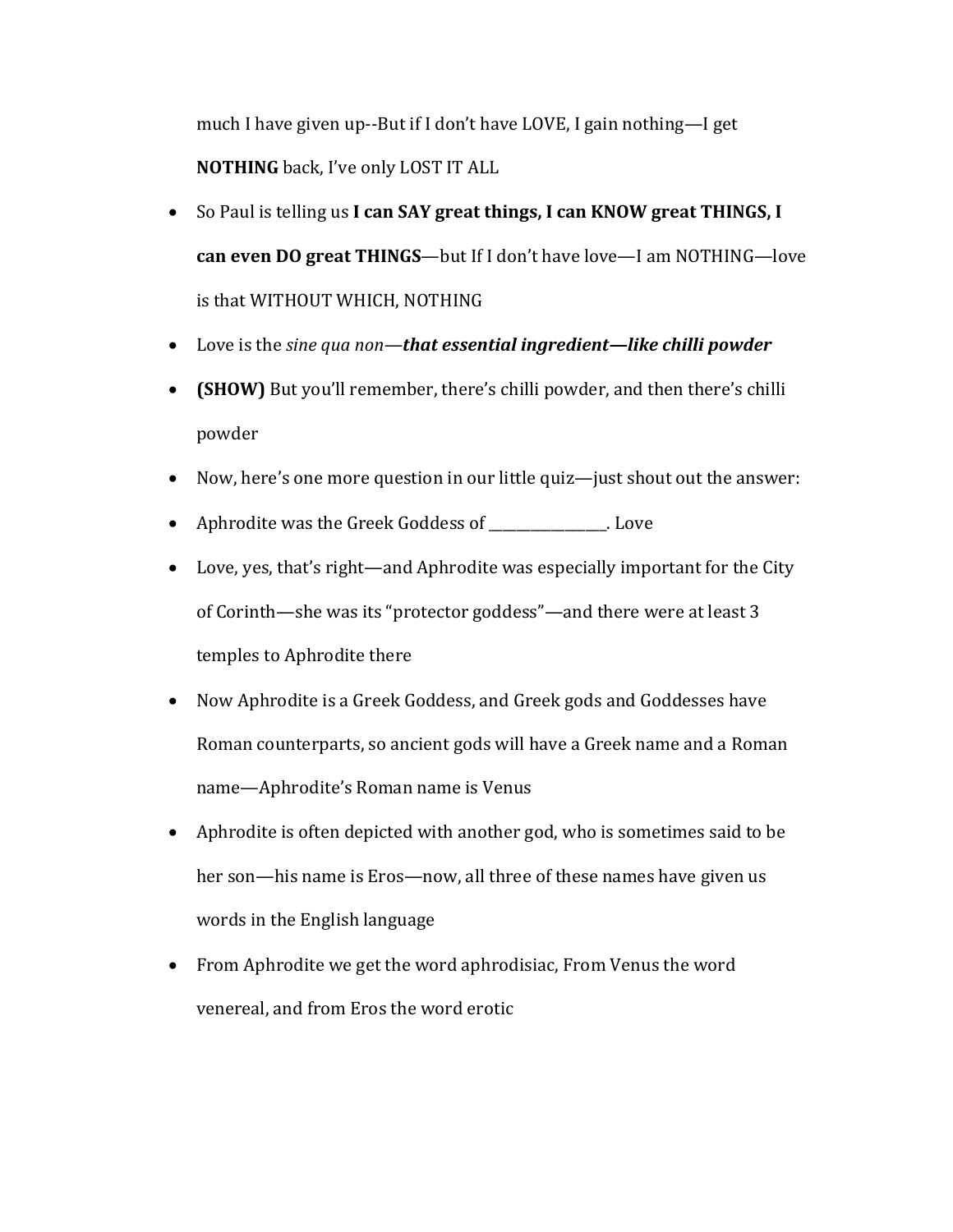much I have given up--But if I don't have LOVE, I gain nothing—I get **NOTHING** back, I've only LOST IT ALL

- So Paul is telling us I can SAY great things, I can KNOW great THINGS, I can even DO great THINGS—but If I don't have love—I am NOTHING—love is that WITHOUT WHICH, NOTHING
- Love is the *sine qua non*—*that essential ingredient—like chilli powder*
- **(SHOW)** But you'll remember, there's chilli powder, and then there's chilli powder
- Now, here's one more question in our little quiz—just shout out the answer:
- Aphrodite was the Greek Goddess of \_\_\_\_\_\_\_\_\_\_\_\_. Love
- Love, yes, that's right—and Aphrodite was especially important for the City of Corinth—she was its "protector goddess"—and there were at least 3 temples to Aphrodite there
- Now Aphrodite is a Greek Goddess, and Greek gods and Goddesses have Roman counterparts, so ancient gods will have a Greek name and a Roman name—Aphrodite's Roman name is Venus
- Aphrodite is often depicted with another god, who is sometimes said to be her son—his name is Eros—now, all three of these names have given us words in the English language
- From Aphrodite we get the word aphrodisiac, From Venus the word venereal, and from Eros the word erotic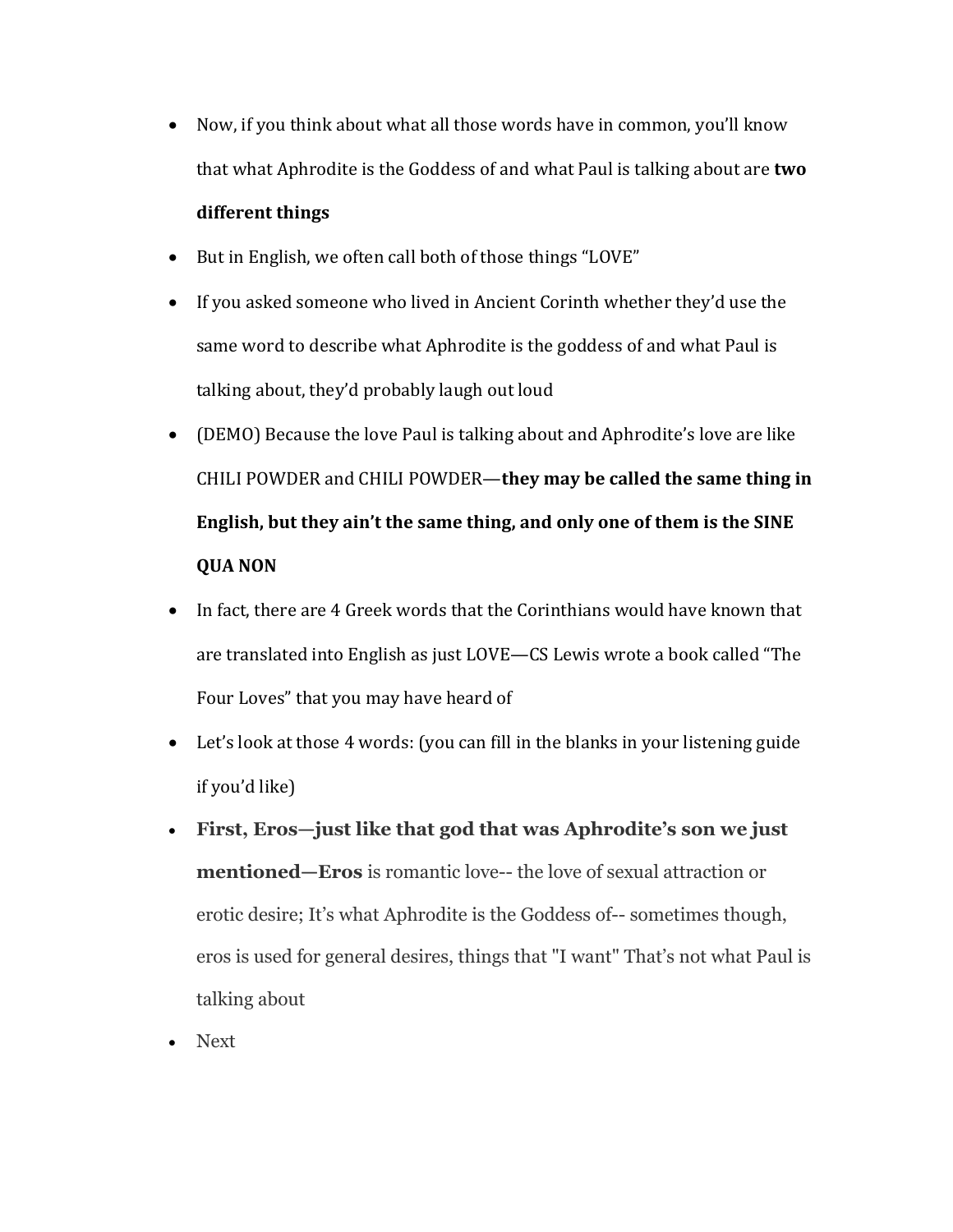• Now, if you think about what all those words have in common, you'll know that what Aphrodite is the Goddess of and what Paul is talking about are **two** 

## **different things**

- But in English, we often call both of those things "LOVE"
- If you asked someone who lived in Ancient Corinth whether they'd use the same word to describe what Aphrodite is the goddess of and what Paul is talking about, they'd probably laugh out loud
- (DEMO) Because the love Paul is talking about and Aphrodite's love are like CHILI POWDER and CHILI POWDER—they may be called the same thing in **English, but they ain't the same thing, and only one of them is the SINE QUA NON**
- In fact, there are 4 Greek words that the Corinthians would have known that are translated into English as just LOVE—CS Lewis wrote a book called "The Four Loves" that you may have heard of
- Let's look at those  $4$  words: (you can fill in the blanks in your listening guide if you'd like)
- **First, Eros—just like that god that was Aphrodite's son we just mentioned—Eros** is romantic love-- the love of sexual attraction or erotic desire; It's what Aphrodite is the Goddess of-- sometimes though, eros is used for general desires, things that "I want" That's not what Paul is talking about
- Next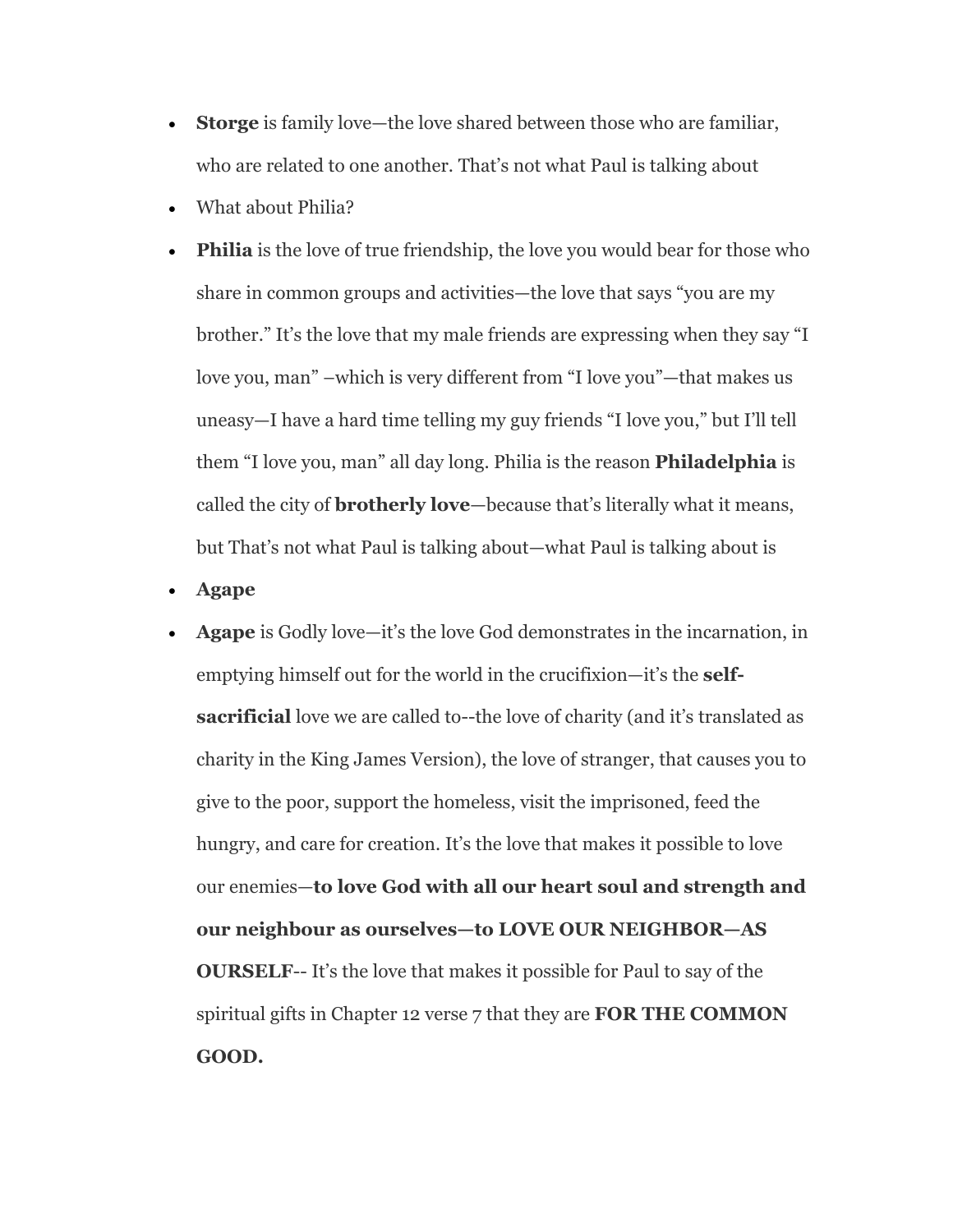- **Storge** is family love—the love shared between those who are familiar, who are related to one another. That's not what Paul is talking about
- What about Philia?
- **Philia** is the love of true friendship, the love you would bear for those who share in common groups and activities—the love that says "you are my brother." It's the love that my male friends are expressing when they say "I love you, man" –which is very different from "I love you"—that makes us uneasy—I have a hard time telling my guy friends "I love you," but I'll tell them "I love you, man" all day long. Philia is the reason **Philadelphia** is called the city of **brotherly love**—because that's literally what it means, but That's not what Paul is talking about—what Paul is talking about is
- **Agape**
- **Agape** is Godly love—it's the love God demonstrates in the incarnation, in emptying himself out for the world in the crucifixion—it's the **selfsacrificial** love we are called to--the love of charity (and it's translated as charity in the King James Version), the love of stranger, that causes you to give to the poor, support the homeless, visit the imprisoned, feed the hungry, and care for creation. It's the love that makes it possible to love our enemies—**to love God with all our heart soul and strength and our neighbour as ourselves—to LOVE OUR NEIGHBOR—AS OURSELF**-- It's the love that makes it possible for Paul to say of the spiritual gifts in Chapter 12 verse 7 that they are **FOR THE COMMON GOOD.**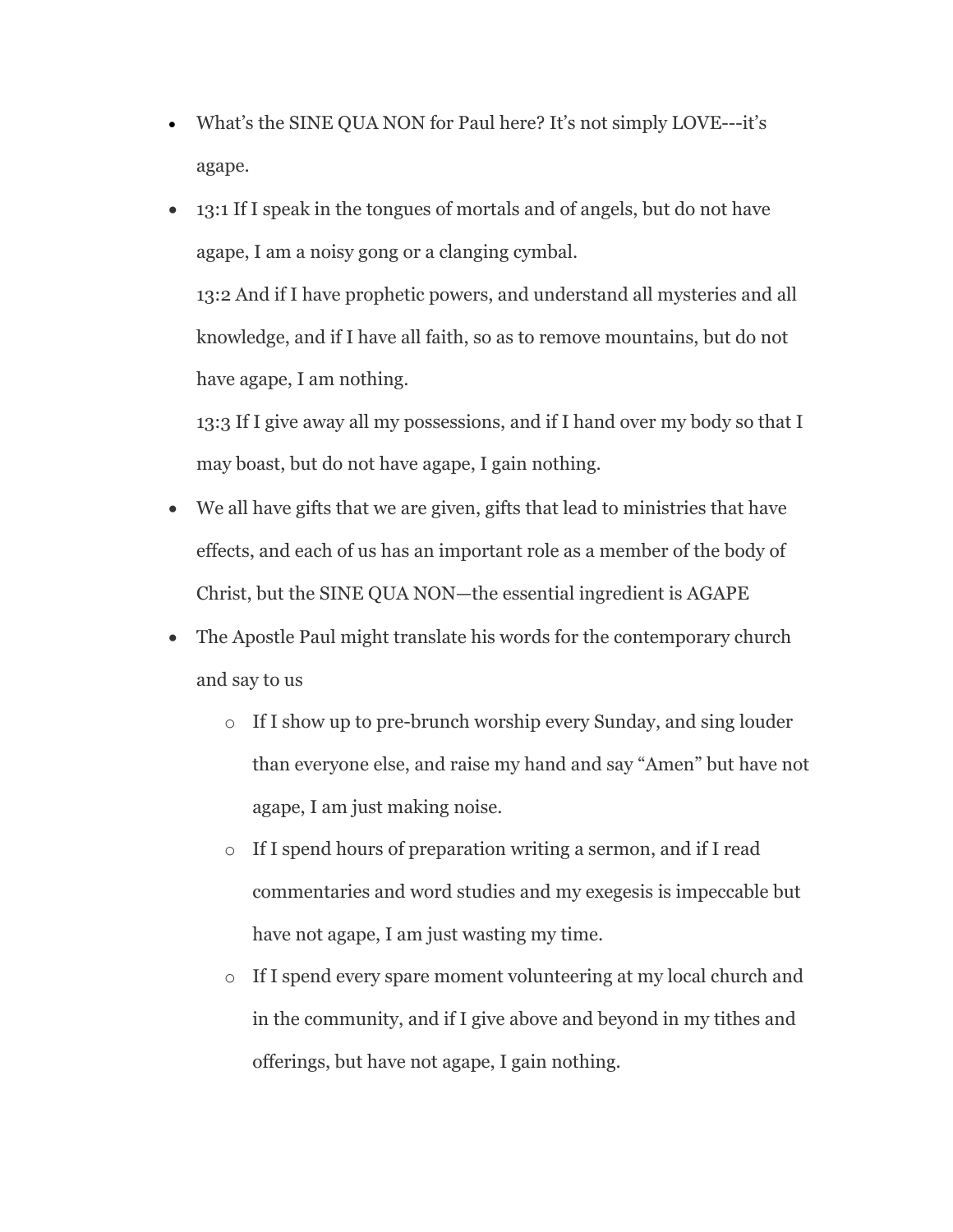- What's the SINE QUA NON for Paul here? It's not simply LOVE---it's agape.
- 13:1 If I speak in the tongues of mortals and of angels, but do not have agape, I am a noisy gong or a clanging cymbal. 13:2 And if I have prophetic powers, and understand all mysteries and all

knowledge, and if I have all faith, so as to remove mountains, but do not have agape, I am nothing.

13:3 If I give away all my possessions, and if I hand over my body so that I may boast, but do not have agape, I gain nothing.

- We all have gifts that we are given, gifts that lead to ministries that have effects, and each of us has an important role as a member of the body of Christ, but the SINE QUA NON—the essential ingredient is AGAPE
- The Apostle Paul might translate his words for the contemporary church and say to us
	- o If I show up to pre-brunch worship every Sunday, and sing louder than everyone else, and raise my hand and say "Amen" but have not agape, I am just making noise.
	- o If I spend hours of preparation writing a sermon, and if I read commentaries and word studies and my exegesis is impeccable but have not agape, I am just wasting my time.
	- o If I spend every spare moment volunteering at my local church and in the community, and if I give above and beyond in my tithes and offerings, but have not agape, I gain nothing.